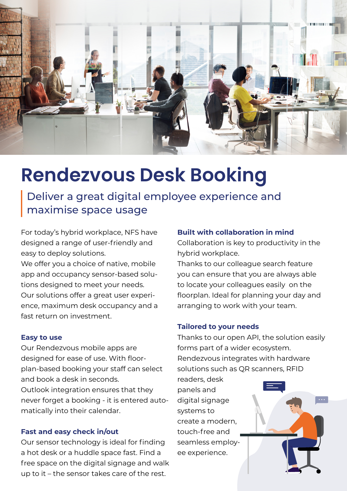

## **Rendezvous Desk Booking**

Deliver a great digital employee experience and maximise space usage

For today's hybrid workplace, NFS have designed a range of user-friendly and easy to deploy solutions.

We offer you a choice of native, mobile app and occupancy sensor-based solutions designed to meet your needs. Our solutions offer a great user experience, maximum desk occupancy and a fast return on investment.

#### **Easy to use**

Our Rendezvous mobile apps are designed for ease of use. With floorplan-based booking your staff can select and book a desk in seconds. Outlook integration ensures that they never forget a booking - it is entered automatically into their calendar.

### **Fast and easy check in/out**

Our sensor technology is ideal for finding a hot desk or a huddle space fast. Find a free space on the digital signage and walk up to it – the sensor takes care of the rest.

### **Built with collaboration in mind**

Collaboration is key to productivity in the hybrid workplace.

Thanks to our colleague search feature you can ensure that you are always able to locate your colleagues easily on the floorplan. Ideal for planning your day and arranging to work with your team.

### **Tailored to your needs**

Thanks to our open API, the solution easily forms part of a wider ecosystem. Rendezvous integrates with hardware solutions such as QR scanners, RFID

readers, desk panels and digital signage systems to create a modern, touch-free and seamless employee experience.